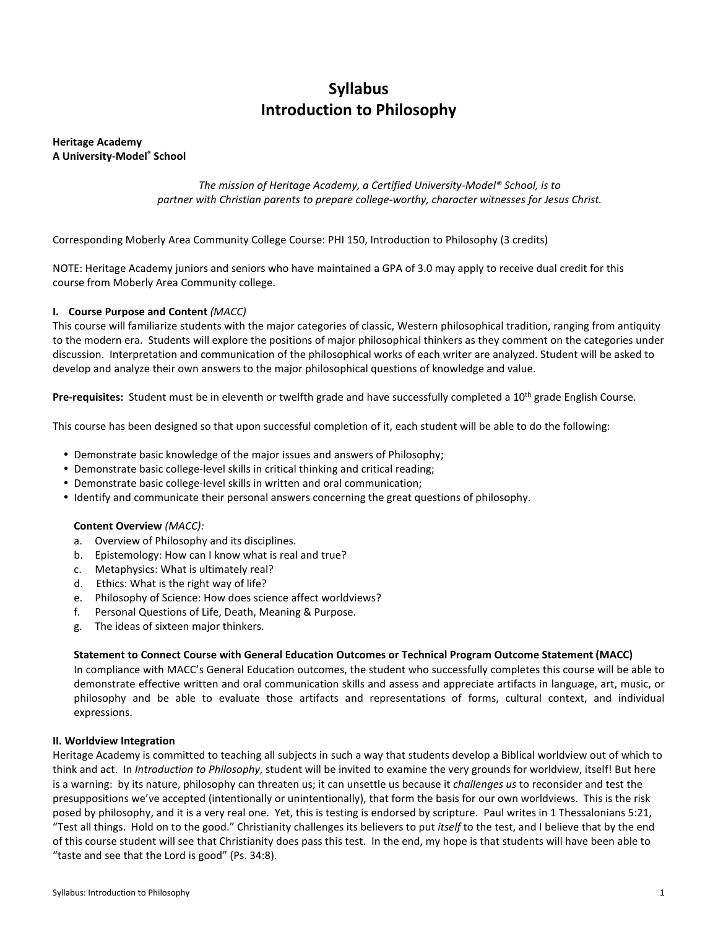# Syllabus Introduction to Philosophy

# Heritage Academy A University-Model® School

# The mission of Heritage Academy, a Certified University-Model® School, is to partner with Christian parents to prepare college-worthy, character witnesses for Jesus Christ.

Corresponding Moberly Area Community College Course: PHI 150, Introduction to Philosophy (3 credits)

NOTE: Heritage Academy juniors and seniors who have maintained a GPA of 3.0 may apply to receive dual credit for this course from Moberly Area Community college.

# I. Course Purpose and Content (MACC)

This course will familiarize students with the major categories of classic, Western philosophical tradition, ranging from antiquity to the modern era. Students will explore the positions of major philosophical thinkers as they comment on the categories under discussion. Interpretation and communication of the philosophical works of each writer are analyzed. Student will be asked to develop and analyze their own answers to the major philosophical questions of knowledge and value.

Pre-requisites: Student must be in eleventh or twelfth grade and have successfully completed a 10<sup>th</sup> grade English Course.

This course has been designed so that upon successful completion of it, each student will be able to do the following:

- Demonstrate basic knowledge of the major issues and answers of Philosophy;
- Demonstrate basic college-level skills in critical thinking and critical reading;
- Demonstrate basic college-level skills in written and oral communication;
- Identify and communicate their personal answers concerning the great questions of philosophy.

# Content Overview (MACC):

- a. Overview of Philosophy and its disciplines.
- b. Epistemology: How can I know what is real and true?
- c. Metaphysics: What is ultimately real?
- d. Ethics: What is the right way of life?
- e. Philosophy of Science: How does science affect worldviews?
- f. Personal Questions of Life, Death, Meaning & Purpose.
- g. The ideas of sixteen major thinkers.

# Statement to Connect Course with General Education Outcomes or Technical Program Outcome Statement (MACC)

In compliance with MACC's General Education outcomes, the student who successfully completes this course will be able to demonstrate effective written and oral communication skills and assess and appreciate artifacts in language, art, music, or philosophy and be able to evaluate those artifacts and representations of forms, cultural context, and individual expressions.

# II. Worldview Integration

Heritage Academy is committed to teaching all subjects in such a way that students develop a Biblical worldview out of which to think and act. In Introduction to Philosophy, student will be invited to examine the very grounds for worldview, itself! But here is a warning: by its nature, philosophy can threaten us; it can unsettle us because it *challenges us* to reconsider and test the presuppositions we've accepted (intentionally or unintentionally), that form the basis for our own worldviews. This is the risk posed by philosophy, and it is a very real one. Yet, this is testing is endorsed by scripture. Paul writes in 1 Thessalonians 5:21, "Test all things. Hold on to the good." Christianity challenges its believers to put *itself* to the test, and I believe that by the end of this course student will see that Christianity does pass this test. In the end, my hope is that students will have been able to "taste and see that the Lord is good" (Ps. 34:8).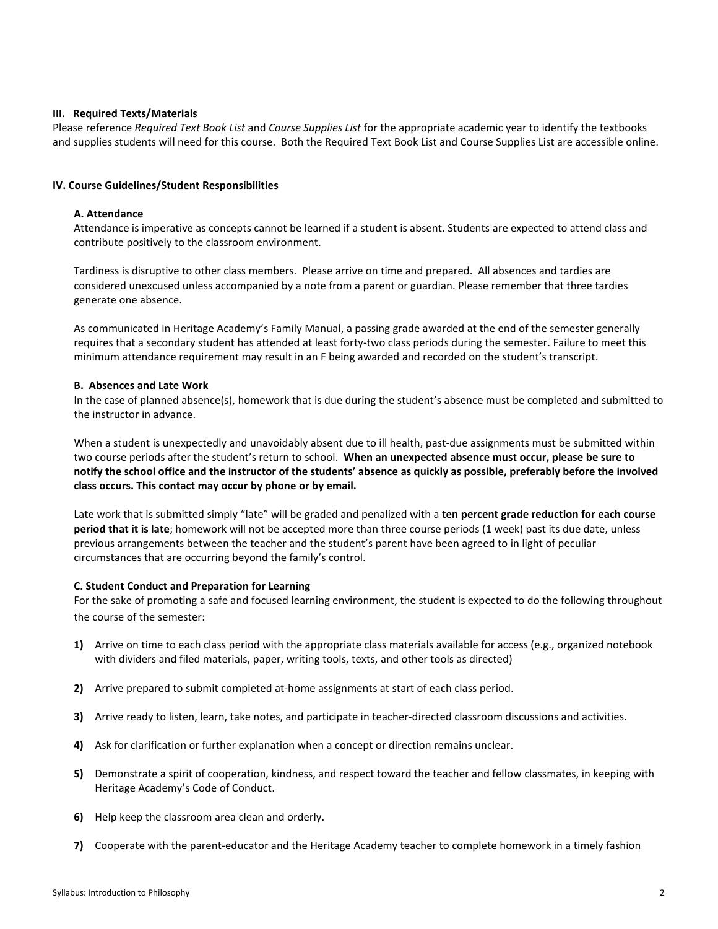# III. Required Texts/Materials

Please reference Required Text Book List and Course Supplies List for the appropriate academic year to identify the textbooks and supplies students will need for this course. Both the Required Text Book List and Course Supplies List are accessible online.

#### IV. Course Guidelines/Student Responsibilities

#### A. Attendance

Attendance is imperative as concepts cannot be learned if a student is absent. Students are expected to attend class and contribute positively to the classroom environment.

Tardiness is disruptive to other class members. Please arrive on time and prepared. All absences and tardies are considered unexcused unless accompanied by a note from a parent or guardian. Please remember that three tardies generate one absence.

As communicated in Heritage Academy's Family Manual, a passing grade awarded at the end of the semester generally requires that a secondary student has attended at least forty-two class periods during the semester. Failure to meet this minimum attendance requirement may result in an F being awarded and recorded on the student's transcript.

#### B. Absences and Late Work

In the case of planned absence(s), homework that is due during the student's absence must be completed and submitted to the instructor in advance.

When a student is unexpectedly and unavoidably absent due to ill health, past-due assignments must be submitted within two course periods after the student's return to school. When an unexpected absence must occur, please be sure to notify the school office and the instructor of the students' absence as quickly as possible, preferably before the involved class occurs. This contact may occur by phone or by email.

Late work that is submitted simply "late" will be graded and penalized with a ten percent grade reduction for each course period that it is late; homework will not be accepted more than three course periods (1 week) past its due date, unless previous arrangements between the teacher and the student's parent have been agreed to in light of peculiar circumstances that are occurring beyond the family's control.

# C. Student Conduct and Preparation for Learning

For the sake of promoting a safe and focused learning environment, the student is expected to do the following throughout the course of the semester:

- 1) Arrive on time to each class period with the appropriate class materials available for access (e.g., organized notebook with dividers and filed materials, paper, writing tools, texts, and other tools as directed)
- 2) Arrive prepared to submit completed at-home assignments at start of each class period.
- 3) Arrive ready to listen, learn, take notes, and participate in teacher-directed classroom discussions and activities.
- 4) Ask for clarification or further explanation when a concept or direction remains unclear.
- 5) Demonstrate a spirit of cooperation, kindness, and respect toward the teacher and fellow classmates, in keeping with Heritage Academy's Code of Conduct.
- 6) Help keep the classroom area clean and orderly.
- 7) Cooperate with the parent-educator and the Heritage Academy teacher to complete homework in a timely fashion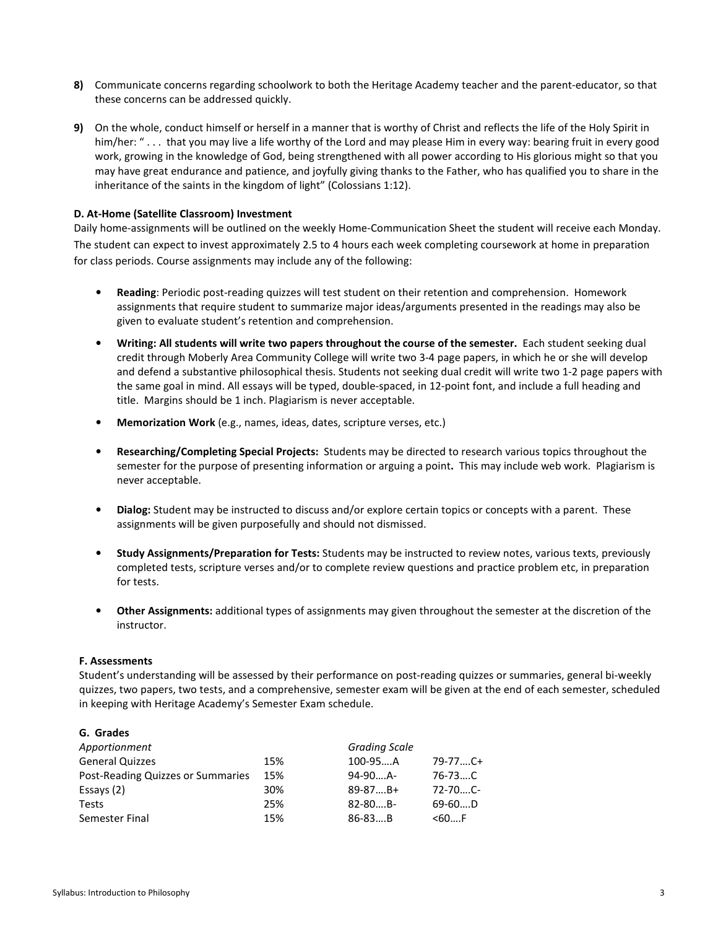- 8) Communicate concerns regarding schoolwork to both the Heritage Academy teacher and the parent-educator, so that these concerns can be addressed quickly.
- 9) On the whole, conduct himself or herself in a manner that is worthy of Christ and reflects the life of the Holy Spirit in him/her: "... that you may live a life worthy of the Lord and may please Him in every way: bearing fruit in every good work, growing in the knowledge of God, being strengthened with all power according to His glorious might so that you may have great endurance and patience, and joyfully giving thanks to the Father, who has qualified you to share in the inheritance of the saints in the kingdom of light" (Colossians 1:12).

# D. At-Home (Satellite Classroom) Investment

Daily home-assignments will be outlined on the weekly Home-Communication Sheet the student will receive each Monday. The student can expect to invest approximately 2.5 to 4 hours each week completing coursework at home in preparation for class periods. Course assignments may include any of the following:

- Reading: Periodic post-reading quizzes will test student on their retention and comprehension. Homework assignments that require student to summarize major ideas/arguments presented in the readings may also be given to evaluate student's retention and comprehension.
- Writing: All students will write two papers throughout the course of the semester. Each student seeking dual credit through Moberly Area Community College will write two 3-4 page papers, in which he or she will develop and defend a substantive philosophical thesis. Students not seeking dual credit will write two 1-2 page papers with the same goal in mind. All essays will be typed, double-spaced, in 12-point font, and include a full heading and title. Margins should be 1 inch. Plagiarism is never acceptable.
- Memorization Work (e.g., names, ideas, dates, scripture verses, etc.)
- Researching/Completing Special Projects: Students may be directed to research various topics throughout the semester for the purpose of presenting information or arguing a point. This may include web work. Plagiarism is never acceptable.
- Dialog: Student may be instructed to discuss and/or explore certain topics or concepts with a parent. These assignments will be given purposefully and should not dismissed.
- Study Assignments/Preparation for Tests: Students may be instructed to review notes, various texts, previously completed tests, scripture verses and/or to complete review questions and practice problem etc, in preparation for tests.
- Other Assignments: additional types of assignments may given throughout the semester at the discretion of the instructor.

# F. Assessments

Student's understanding will be assessed by their performance on post-reading quizzes or summaries, general bi-weekly quizzes, two papers, two tests, and a comprehensive, semester exam will be given at the end of each semester, scheduled in keeping with Heritage Academy's Semester Exam schedule.

| Apportionment                     |     | <b>Grading Scale</b> |              |
|-----------------------------------|-----|----------------------|--------------|
| <b>General Quizzes</b>            | 15% | $100 - 95$ A         | 79-77C+      |
| Post-Reading Quizzes or Summaries | 15% | $94-90$ A-           | 76-73C       |
| Essays (2)                        | 30% | $89 - 87 \dots B +$  | $72 - 70$ C- |
| <b>Tests</b>                      | 25% | $82 - 80$ B-         | 69-60D       |
| Semester Final                    | 15% | $86 - 83B$           | < 60F        |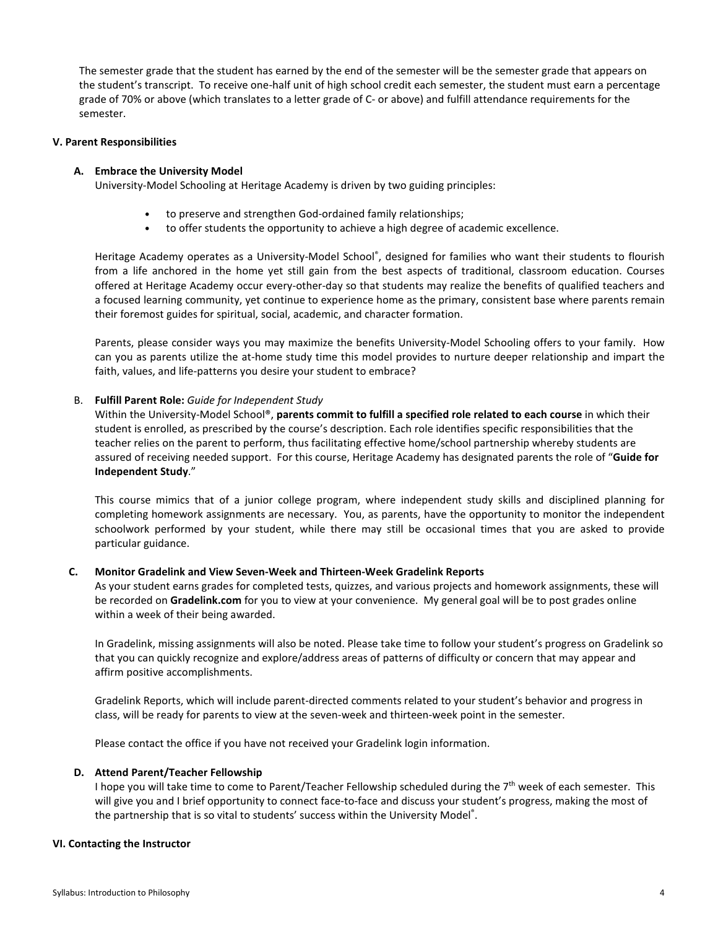The semester grade that the student has earned by the end of the semester will be the semester grade that appears on the student's transcript. To receive one-half unit of high school credit each semester, the student must earn a percentage grade of 70% or above (which translates to a letter grade of C- or above) and fulfill attendance requirements for the semester.

### V. Parent Responsibilities

# A. Embrace the University Model

University-Model Schooling at Heritage Academy is driven by two guiding principles:

- to preserve and strengthen God-ordained family relationships;
- to offer students the opportunity to achieve a high degree of academic excellence.

Heritage Academy operates as a University-Model School®, designed for families who want their students to flourish from a life anchored in the home yet still gain from the best aspects of traditional, classroom education. Courses offered at Heritage Academy occur every-other-day so that students may realize the benefits of qualified teachers and a focused learning community, yet continue to experience home as the primary, consistent base where parents remain their foremost guides for spiritual, social, academic, and character formation.

Parents, please consider ways you may maximize the benefits University-Model Schooling offers to your family. How can you as parents utilize the at-home study time this model provides to nurture deeper relationship and impart the faith, values, and life-patterns you desire your student to embrace?

# B. Fulfill Parent Role: Guide for Independent Study

Within the University-Model School®, parents commit to fulfill a specified role related to each course in which their student is enrolled, as prescribed by the course's description. Each role identifies specific responsibilities that the teacher relies on the parent to perform, thus facilitating effective home/school partnership whereby students are assured of receiving needed support. For this course, Heritage Academy has designated parents the role of "Guide for Independent Study."

This course mimics that of a junior college program, where independent study skills and disciplined planning for completing homework assignments are necessary. You, as parents, have the opportunity to monitor the independent schoolwork performed by your student, while there may still be occasional times that you are asked to provide particular guidance.

# C. Monitor Gradelink and View Seven-Week and Thirteen-Week Gradelink Reports

As your student earns grades for completed tests, quizzes, and various projects and homework assignments, these will be recorded on Gradelink.com for you to view at your convenience. My general goal will be to post grades online within a week of their being awarded.

In Gradelink, missing assignments will also be noted. Please take time to follow your student's progress on Gradelink so that you can quickly recognize and explore/address areas of patterns of difficulty or concern that may appear and affirm positive accomplishments.

Gradelink Reports, which will include parent-directed comments related to your student's behavior and progress in class, will be ready for parents to view at the seven-week and thirteen-week point in the semester.

Please contact the office if you have not received your Gradelink login information.

# D. Attend Parent/Teacher Fellowship

I hope you will take time to come to Parent/Teacher Fellowship scheduled during the  $7<sup>th</sup>$  week of each semester. This will give you and I brief opportunity to connect face-to-face and discuss your student's progress, making the most of the partnership that is so vital to students' success within the University Model<sup>®</sup>.

#### VI. Contacting the Instructor